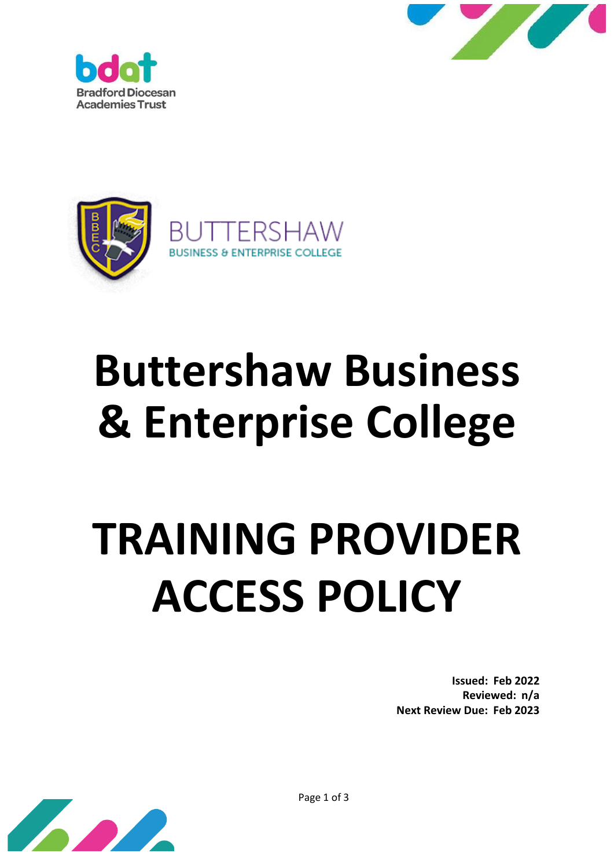





# **Buttershaw Business & Enterprise College**

# **TRAINING PROVIDER ACCESS POLICY**

**Issued: Feb 2022 Reviewed: n/a Next Review Due: Feb 2023**



Page 1 of 3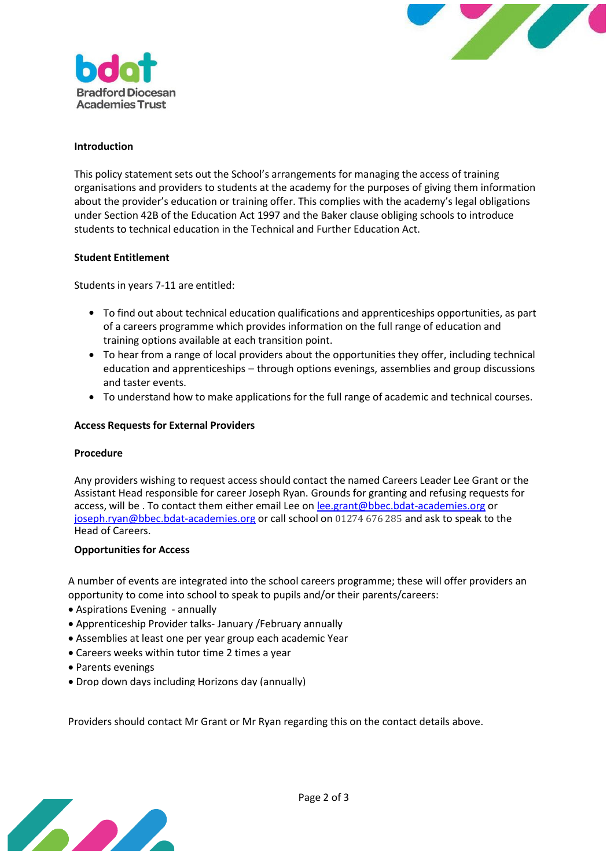



# **Introduction**

This policy statement sets out the School's arrangements for managing the access of training organisations and providers to students at the academy for the purposes of giving them information about the provider's education or training offer. This complies with the academy's legal obligations under Section 42B of the Education Act 1997 and the Baker clause obliging schools to introduce students to technical education in the Technical and Further Education Act.

# **Student Entitlement**

Students in years 7-11 are entitled:

- To find out about technical education qualifications and apprenticeships opportunities, as part of a careers programme which provides information on the full range of education and training options available at each transition point.
- To hear from a range of local providers about the opportunities they offer, including technical education and apprenticeships – through options evenings, assemblies and group discussions and taster events.
- To understand how to make applications for the full range of academic and technical courses. •

# **Access Requests for External Providers**

#### **Procedure**

Any providers wishing to request access should contact the named Careers Leader Lee Grant or the Assistant Head responsible for career Joseph Ryan. Grounds for granting and refusing requests for access, will be . To contact them either email Lee on [lee.grant@bbec.bdat-academies.org](mailto:lee.grant@bbec.bdat-academies.org) or [joseph.ryan@bbec.bdat-academies.org](mailto:joseph.ryan@bbec.bdat-academies.org) or call school on 01274 676 285 and ask to speak to the Head of Careers.

#### **Opportunities for Access**

A number of events are integrated into the school careers programme; these will offer providers an opportunity to come into school to speak to pupils and/or their parents/careers:

- Aspirations Evening annually
- Apprenticeship Provider talks- January /February annually
- Assemblies at least one per year group each academic Year
- Careers weeks within tutor time 2 times a year
- Parents evenings
- Drop down days including Horizons day (annually)

Providers should contact Mr Grant or Mr Ryan regarding this on the contact details above.